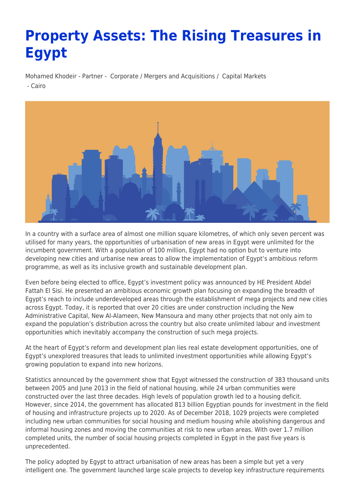# **Property Assets: The Rising Treasures in Egypt**

Mohamed Khodeir - Partner - [Corporate / Mergers and Acquisitions](https://www.tamimi.com/client-services/practices/corporate-mergers-acquisitions/) / [Capital Markets](https://www.tamimi.com/client-services/practices/capital-markets/) - [Cairo](https://www.tamimi.com/locations/egypt/)



In a country with a surface area of almost one million square kilometres, of which only seven percent was utilised for many years, the opportunities of urbanisation of new areas in Egypt were unlimited for the incumbent government. With a population of 100 million, Egypt had no option but to venture into developing new cities and urbanise new areas to allow the implementation of Egypt's ambitious reform programme, as well as its inclusive growth and sustainable development plan.

Even before being elected to office, Egypt's investment policy was announced by HE President Abdel Fattah El Sisi. He presented an ambitious economic growth plan focusing on expanding the breadth of Egypt's reach to include underdeveloped areas through the establishment of mega projects and new cities across Egypt. Today, it is reported that over 20 cities are under construction including the New Administrative Capital, New Al-Alameen, New Mansoura and many other projects that not only aim to expand the population's distribution across the country but also create unlimited labour and investment opportunities which inevitably accompany the construction of such mega projects.

At the heart of Egypt's reform and development plan lies real estate development opportunities, one of Egypt's unexplored treasures that leads to unlimited investment opportunities while allowing Egypt's growing population to expand into new horizons.

Statistics announced by the government show that Egypt witnessed the construction of 383 thousand units between 2005 and June 2013 in the field of national housing, while 24 urban communities were constructed over the last three decades. High levels of population growth led to a housing deficit. However, since 2014, the government has allocated 813 billion Egyptian pounds for investment in the field of housing and infrastructure projects up to 2020. As of December 2018, 1029 projects were completed including new urban communities for social housing and medium housing while abolishing dangerous and informal housing zones and moving the communities at risk to new urban areas. With over 1.7 million completed units, the number of social housing projects completed in Egypt in the past five years is unprecedented.

The policy adopted by Egypt to attract urbanisation of new areas has been a simple but yet a very intelligent one. The government launched large scale projects to develop key infrastructure requirements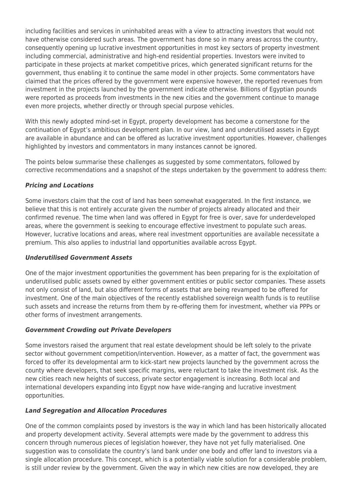including facilities and services in uninhabited areas with a view to attracting investors that would not have otherwise considered such areas. The government has done so in many areas across the country, consequently opening up lucrative investment opportunities in most key sectors of property investment including commercial, administrative and high-end residential properties. Investors were invited to participate in these projects at market competitive prices, which generated significant returns for the government, thus enabling it to continue the same model in other projects. Some commentators have claimed that the prices offered by the government were expensive however, the reported revenues from investment in the projects launched by the government indicate otherwise. Billions of Egyptian pounds were reported as proceeds from investments in the new cities and the government continue to manage even more projects, whether directly or through special purpose vehicles.

With this newly adopted mind-set in Egypt, property development has become a cornerstone for the continuation of Egypt's ambitious development plan. In our view, land and underutilised assets in Egypt are available in abundance and can be offered as lucrative investment opportunities. However, challenges highlighted by investors and commentators in many instances cannot be ignored.

The points below summarise these challenges as suggested by some commentators, followed by corrective recommendations and a snapshot of the steps undertaken by the government to address them:

## *Pricing and Locations*

Some investors claim that the cost of land has been somewhat exaggerated. In the first instance, we believe that this is not entirely accurate given the number of projects already allocated and their confirmed revenue. The time when land was offered in Egypt for free is over, save for underdeveloped areas, where the government is seeking to encourage effective investment to populate such areas. However, lucrative locations and areas, where real investment opportunities are available necessitate a premium. This also applies to industrial land opportunities available across Egypt.

### *Underutilised Government Assets*

One of the major investment opportunities the government has been preparing for is the exploitation of underutilised public assets owned by either government entities or public sector companies. These assets not only consist of land, but also different forms of assets that are being revamped to be offered for investment. One of the main objectives of the recently established sovereign wealth funds is to reutilise such assets and increase the returns from them by re-offering them for investment, whether via PPPs or other forms of investment arrangements.

### *Government Crowding out Private Developers*

Some investors raised the argument that real estate development should be left solely to the private sector without government competition/intervention. However, as a matter of fact, the government was forced to offer its developmental arm to kick-start new projects launched by the government across the county where developers, that seek specific margins, were reluctant to take the investment risk. As the new cities reach new heights of success, private sector engagement is increasing. Both local and international developers expanding into Egypt now have wide-ranging and lucrative investment opportunities.

### *Land Segregation and Allocation Procedures*

One of the common complaints posed by investors is the way in which land has been historically allocated and property development activity. Several attempts were made by the government to address this concern through numerous pieces of legislation however, they have not yet fully materialised. One suggestion was to consolidate the country's land bank under one body and offer land to investors via a single allocation procedure. This concept, which is a potentially viable solution for a considerable problem, is still under review by the government. Given the way in which new cities are now developed, they are